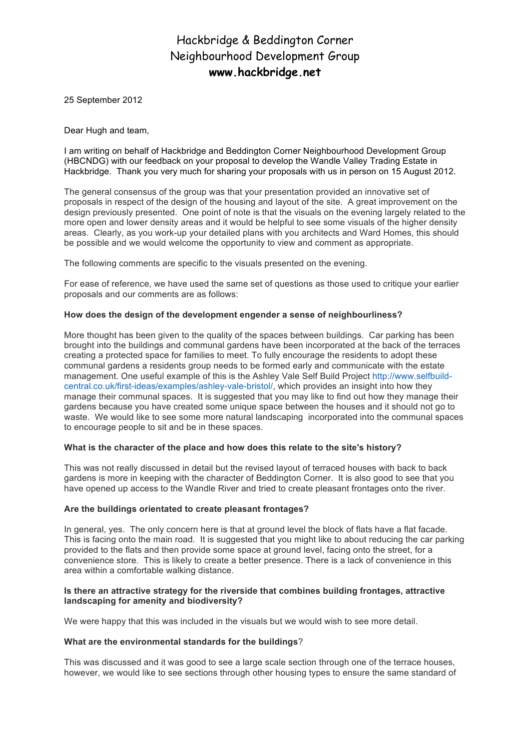# Hackbridge & Beddington Corner Neighbourhood Development Group **www.hackbridge.net**

25 September 2012

Dear Hugh and team,

I am writing on behalf of Hackbridge and Beddington Corner Neighbourhood Development Group (HBCNDG) with our feedback on your proposal to develop the Wandle Valley Trading Estate in Hackbridge. Thank you very much for sharing your proposals with us in person on 15 August 2012.

The general consensus of the group was that your presentation provided an innovative set of proposals in respect of the design of the housing and layout of the site. A great improvement on the design previously presented. One point of note is that the visuals on the evening largely related to the more open and lower density areas and it would be helpful to see some visuals of the higher density areas. Clearly, as you work-up your detailed plans with you architects and Ward Homes, this should be possible and we would welcome the opportunity to view and comment as appropriate.

The following comments are specific to the visuals presented on the evening.

For ease of reference, we have used the same set of questions as those used to critique your earlier proposals and our comments are as follows:

## **How does the design of the development engender a sense of neighbourliness?**

More thought has been given to the quality of the spaces between buildings. Car parking has been brought into the buildings and communal gardens have been incorporated at the back of the terraces creating a protected space for families to meet. To fully encourage the residents to adopt these communal gardens a residents group needs to be formed early and communicate with the estate management. One useful example of this is the Ashley Vale Self Build Project http://www.selfbuildcentral.co.uk/first-ideas/examples/ashley-vale-bristol/, which provides an insight into how they manage their communal spaces. It is suggested that you may like to find out how they manage their gardens because you have created some unique space between the houses and it should not go to waste. We would like to see some more natural landscaping incorporated into the communal spaces to encourage people to sit and be in these spaces.

## **What is the character of the place and how does this relate to the site's history?**

This was not really discussed in detail but the revised layout of terraced houses with back to back gardens is more in keeping with the character of Beddington Corner. It is also good to see that you have opened up access to the Wandle River and tried to create pleasant frontages onto the river.

### **Are the buildings orientated to create pleasant frontages?**

In general, yes. The only concern here is that at ground level the block of flats have a flat facade. This is facing onto the main road. It is suggested that you might like to about reducing the car parking provided to the flats and then provide some space at ground level, facing onto the street, for a convenience store. This is likely to create a better presence. There is a lack of convenience in this area within a comfortable walking distance.

## **Is there an attractive strategy for the riverside that combines building frontages, attractive landscaping for amenity and biodiversity?**

We were happy that this was included in the visuals but we would wish to see more detail.

## **What are the environmental standards for the buildings**?

This was discussed and it was good to see a large scale section through one of the terrace houses, however, we would like to see sections through other housing types to ensure the same standard of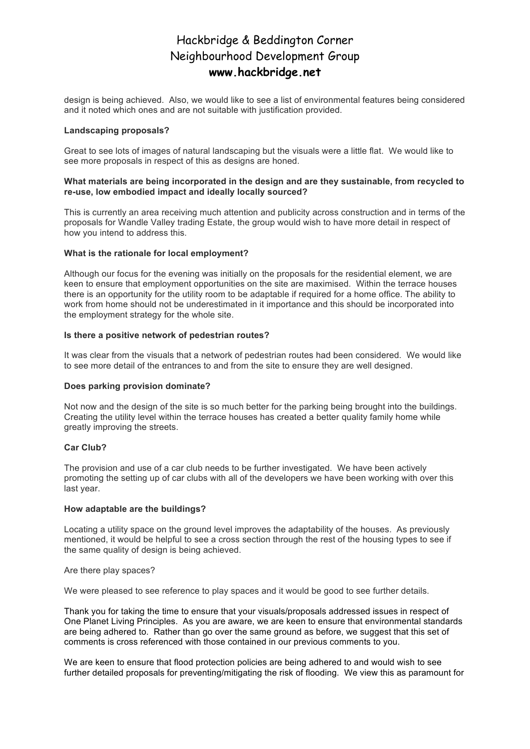## Hackbridge & Beddington Corner Neighbourhood Development Group **www.hackbridge.net**

design is being achieved. Also, we would like to see a list of environmental features being considered and it noted which ones and are not suitable with justification provided.

#### **Landscaping proposals?**

Great to see lots of images of natural landscaping but the visuals were a little flat. We would like to see more proposals in respect of this as designs are honed.

#### **What materials are being incorporated in the design and are they sustainable, from recycled to re-use, low embodied impact and ideally locally sourced?**

This is currently an area receiving much attention and publicity across construction and in terms of the proposals for Wandle Valley trading Estate, the group would wish to have more detail in respect of how you intend to address this.

### **What is the rationale for local employment?**

Although our focus for the evening was initially on the proposals for the residential element, we are keen to ensure that employment opportunities on the site are maximised. Within the terrace houses there is an opportunity for the utility room to be adaptable if required for a home office. The ability to work from home should not be underestimated in it importance and this should be incorporated into the employment strategy for the whole site.

## **Is there a positive network of pedestrian routes?**

It was clear from the visuals that a network of pedestrian routes had been considered. We would like to see more detail of the entrances to and from the site to ensure they are well designed.

### **Does parking provision dominate?**

Not now and the design of the site is so much better for the parking being brought into the buildings. Creating the utility level within the terrace houses has created a better quality family home while greatly improving the streets.

### **Car Club?**

The provision and use of a car club needs to be further investigated. We have been actively promoting the setting up of car clubs with all of the developers we have been working with over this last year.

#### **How adaptable are the buildings?**

Locating a utility space on the ground level improves the adaptability of the houses. As previously mentioned, it would be helpful to see a cross section through the rest of the housing types to see if the same quality of design is being achieved.

#### Are there play spaces?

We were pleased to see reference to play spaces and it would be good to see further details.

Thank you for taking the time to ensure that your visuals/proposals addressed issues in respect of One Planet Living Principles. As you are aware, we are keen to ensure that environmental standards are being adhered to. Rather than go over the same ground as before, we suggest that this set of comments is cross referenced with those contained in our previous comments to you.

We are keen to ensure that flood protection policies are being adhered to and would wish to see further detailed proposals for preventing/mitigating the risk of flooding. We view this as paramount for